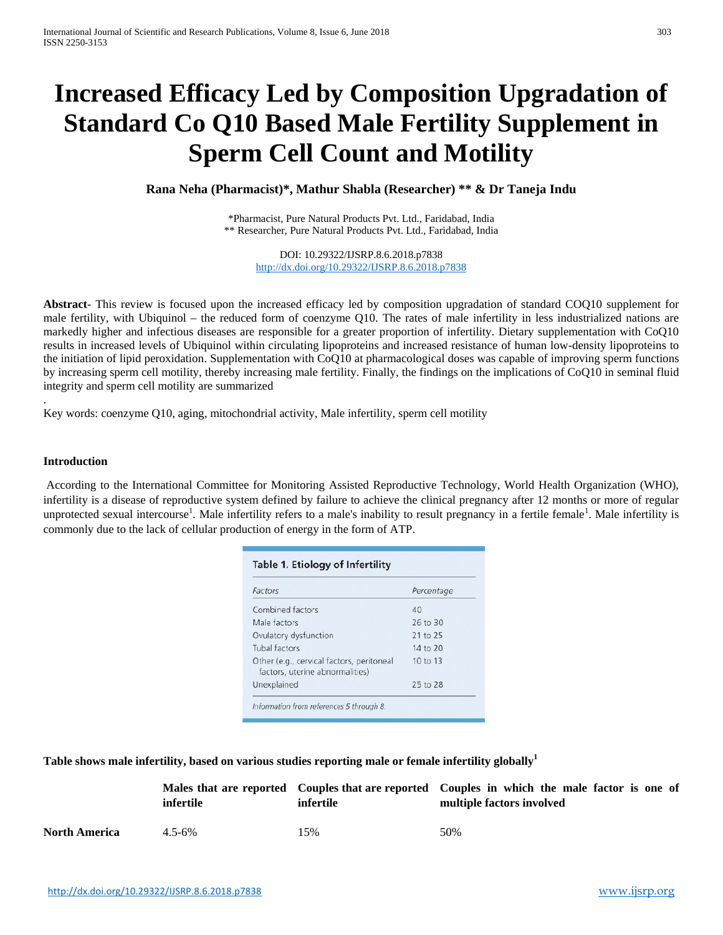# **Increased Efficacy Led by Composition Upgradation of Standard Co Q10 Based Male Fertility Supplement in Sperm Cell Count and Motility**

**Rana Neha (Pharmacist)\*, Mathur Shabla (Researcher) \*\* & Dr Taneja Indu** 

\*Pharmacist, Pure Natural Products Pvt. Ltd., Faridabad, India \*\* Researcher, Pure Natural Products Pvt. Ltd., Faridabad, India

> DOI: 10.29322/IJSRP.8.6.2018.p7838 <http://dx.doi.org/10.29322/IJSRP.8.6.2018.p7838>

**Abstract**- This review is focused upon the increased efficacy led by composition upgradation of standard COQ10 supplement for male fertility, with Ubiquinol – the reduced form of coenzyme Q10. The rates of male infertility in less industrialized nations are markedly higher and infectious diseases are responsible for a greater proportion of infertility. Dietary supplementation with CoQ10 results in increased levels of Ubiquinol within circulating lipoproteins and increased resistance of human low-density lipoproteins to the initiation of lipid peroxidation. Supplementation with CoQ10 at pharmacological doses was capable of improving sperm functions by increasing sperm cell motility, thereby increasing male fertility. Finally, the findings on the implications of CoQ10 in seminal fluid integrity and sperm cell motility are summarized

Key words: coenzyme Q10, aging, mitochondrial activity, Male infertility, sperm cell motility

#### **Introduction**

.

According to the International Committee for Monitoring Assisted Reproductive Technology, World Health Organization (WHO), infertility is a disease of reproductive system defined by failure to achieve the clinical pregnancy after 12 months or more of regular unprotected sexual intercourse<sup>1</sup>. Male infertility refers to a male's inability to result pregnancy in a fertile female<sup>1</sup>. Male infertility is commonly due to the lack of cellular production of energy in the form of ATP.

| Factors                                                                      | Percentage |
|------------------------------------------------------------------------------|------------|
| Combined factors                                                             | 40         |
| Male factors                                                                 | 26 to 30   |
| Ovulatory dysfunction                                                        | 21 to 25   |
| <b>Tubal factors</b>                                                         | 14 to 20   |
| Other (e.g., cervical factors, peritoneal<br>factors, uterine abnormalities) | 10 to 13   |
| Unexplained                                                                  | 25 to 28   |

## **Table shows male infertility, based on various studies reporting male or female infertility globally<sup>1</sup>**

|                      | infertile   | infertile | Males that are reported Couples that are reported Couples in which the male factor is one of<br>multiple factors involved |
|----------------------|-------------|-----------|---------------------------------------------------------------------------------------------------------------------------|
| <b>North America</b> | $4.5 - 6\%$ | 5%        | 50%                                                                                                                       |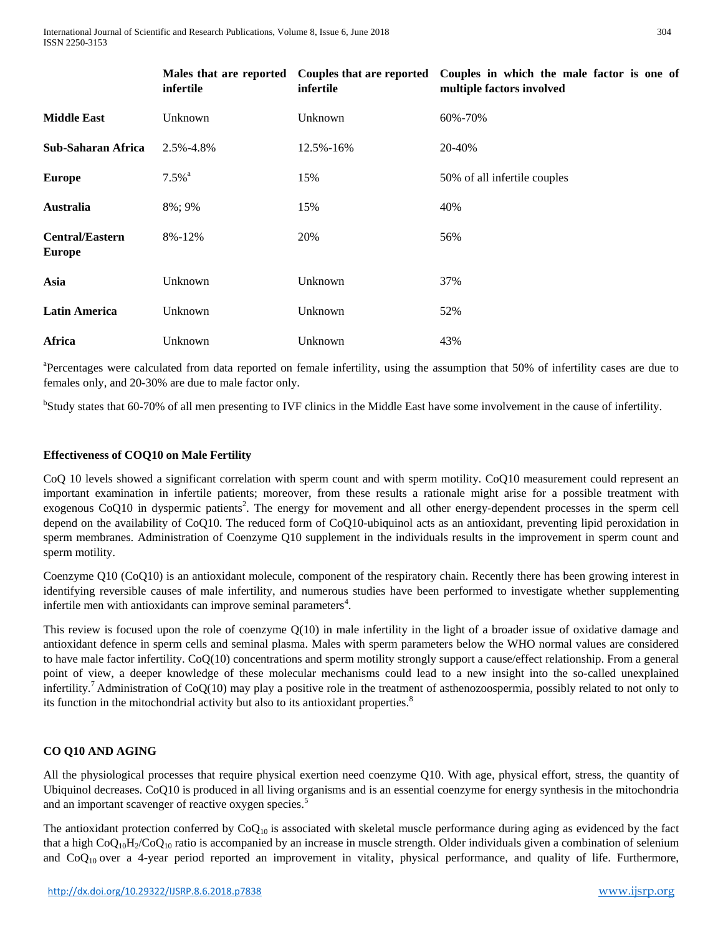|                                         | infertile           | Males that are reported Couples that are reported<br>infertile | Couples in which the male factor is one of<br>multiple factors involved |
|-----------------------------------------|---------------------|----------------------------------------------------------------|-------------------------------------------------------------------------|
| <b>Middle East</b>                      | Unknown             | Unknown                                                        | 60%-70%                                                                 |
| <b>Sub-Saharan Africa</b>               | 2.5%-4.8%           | 12.5%-16%                                                      | 20-40%                                                                  |
| <b>Europe</b>                           | $7.5%$ <sup>a</sup> | 15%                                                            | 50% of all infertile couples                                            |
| Australia                               | 8%; 9%              | 15%                                                            | 40%                                                                     |
| <b>Central/Eastern</b><br><b>Europe</b> | 8%-12%              | 20%                                                            | 56%                                                                     |
| Asia                                    | Unknown             | Unknown                                                        | 37%                                                                     |
| <b>Latin America</b>                    | Unknown             | Unknown                                                        | 52%                                                                     |
| <b>Africa</b>                           | Unknown             | Unknown                                                        | 43%                                                                     |

<sup>a</sup>Percentages were calculated from data reported on female infertility, using the assumption that 50% of infertility cases are due to females only, and 20-30% are due to male factor only.

<sup>b</sup>Study states that 60-70% of all men presenting to IVF clinics in the Middle East have some involvement in the cause of infertility.

# **Effectiveness of COQ10 on Male Fertility**

CoQ 10 levels showed a significant correlation with sperm count and with sperm motility. CoQ10 measurement could represent an important examination in infertile patients; moreover, from these results a rationale might arise for a possible treatment with exogenous  $CoQ10$  in dyspermic patients<sup>2</sup>. The energy for movement and all other energy-dependent processes in the sperm cell depend on the availability of CoQ10. The reduced form of CoQ10-ubiquinol acts as an antioxidant, preventing lipid peroxidation in sperm membranes. Administration of Coenzyme Q10 supplement in the individuals results in the improvement in sperm count and sperm motility.

Coenzyme Q10 (CoQ10) is an antioxidant molecule, component of the respiratory chain. Recently there has been growing interest in identifying reversible causes of male infertility, and numerous studies have been performed to investigate whether supplementing infertile men with antioxidants can improve seminal parameters<sup>4</sup>.

This review is focused upon the role of coenzyme Q(10) in male infertility in the light of a broader issue of oxidative damage and antioxidant defence in sperm cells and seminal plasma. Males with sperm parameters below the WHO normal values are considered to have male factor infertility. CoQ(10) concentrations and sperm motility strongly support a cause/effect relationship. From a general point of view, a deeper knowledge of these molecular mechanisms could lead to a new insight into the so-called unexplained infertility.<sup>7</sup> Administration of  $CoQ(10)$  may play a positive role in the treatment of asthenozoospermia, possibly related to not only to its function in the mitochondrial activity but also to its antioxidant properties. $8$ 

# **CO Q10 AND AGING**

All the physiological processes that require physical exertion need coenzyme Q10. With age, physical effort, stress, the quantity of Ubiquinol decreases. CoQ10 is produced in all living organisms and is an essential coenzyme for energy synthesis in the mitochondria and an important scavenger of reactive oxygen species.<sup>5</sup>

The antioxidant protection conferred by  $CoQ_{10}$  is associated with skeletal muscle performance during aging as evidenced by the fact that a high  $CoQ_{10}H_2/CoQ_{10}$  ratio is accompanied by an increase in muscle strength. Older individuals given a combination of selenium and  $CoQ_{10}$  over a 4-year period reported an improvement in vitality, physical performance, and quality of life. Furthermore,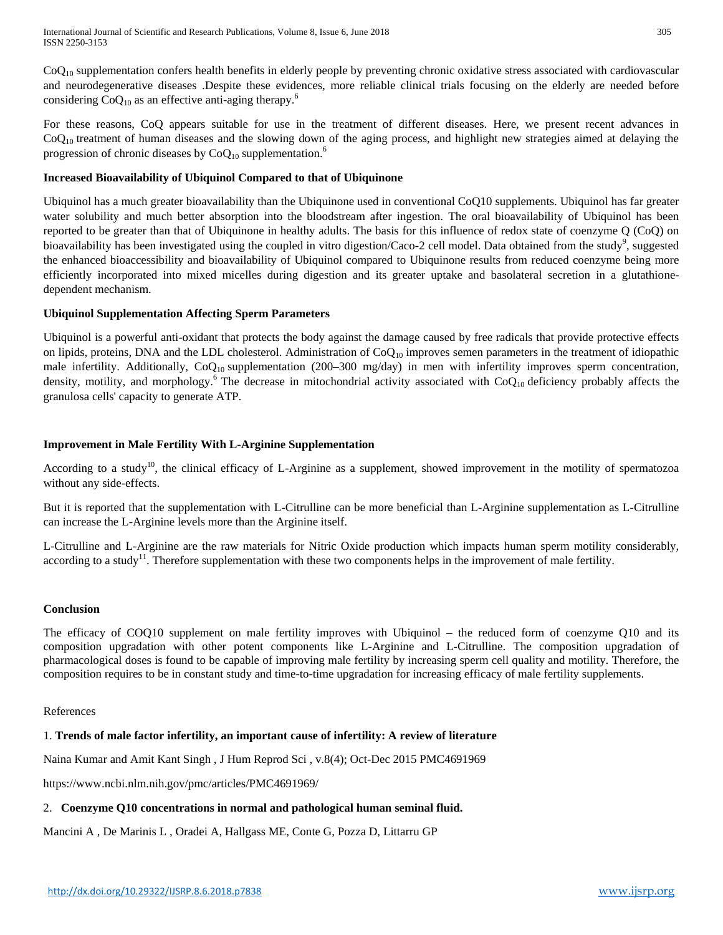CoQ10 supplementation confers health benefits in elderly people by preventing chronic oxidative stress associated with cardiovascular and neurodegenerative diseases .Despite these evidences, more reliable clinical trials focusing on the elderly are needed before considering  $CoO<sub>10</sub>$  as an effective anti-aging therapy.<sup>6</sup>

For these reasons, CoQ appears suitable for use in the treatment of different diseases. Here, we present recent advances in  $CoQ<sub>10</sub>$  treatment of human diseases and the slowing down of the aging process, and highlight new strategies aimed at delaying the progression of chronic diseases by  $CoQ_{10}$  supplementation.<sup>6</sup>

## **Increased Bioavailability of Ubiquinol Compared to that of Ubiquinone**

Ubiquinol has a much greater bioavailability than the Ubiquinone used in conventional CoQ10 supplements. Ubiquinol has far greater water solubility and much better absorption into the bloodstream after ingestion. The oral bioavailability of Ubiquinol has been reported to be greater than that of Ubiquinone in healthy adults. The basis for this influence of redox state of coenzyme Q (CoQ) on bioavailability has been investigated using the coupled in vitro digestion/Caco-2 cell model. Data obtained from the study<sup>9</sup>, suggested the enhanced bioaccessibility and bioavailability of Ubiquinol compared to Ubiquinone results from reduced coenzyme being more efficiently incorporated into mixed micelles during digestion and its greater uptake and basolateral secretion in a glutathionedependent mechanism.

## **Ubiquinol Supplementation Affecting Sperm Parameters**

Ubiquinol is a powerful anti-oxidant that protects the body against the damage caused by free radicals that provide protective effects on lipids, proteins, DNA and the LDL cholesterol. Administration of  $Co<sub>10</sub>$  improves semen parameters in the treatment of idiopathic male infertility. Additionally,  $CoQ_{10}$  supplementation (200–300 mg/day) in men with infertility improves sperm concentration, density, motility, and morphology.<sup>6</sup> The decrease in mitochondrial activity associated with  $CoQ_{10}$  deficiency probably affects the granulosa cells' capacity to generate ATP.

# **Improvement in Male Fertility With L-Arginine Supplementation**

According to a study<sup>10</sup>, the clinical efficacy of L-Arginine as a supplement, showed improvement in the motility of spermatozoa without any side-effects.

But it is reported that the supplementation with L-Citrulline can be more beneficial than L-Arginine supplementation as L-Citrulline can increase the L-Arginine levels more than the Arginine itself.

L-Citrulline and L-Arginine are the raw materials for Nitric Oxide production which impacts human sperm motility considerably, according to a study<sup>11</sup>. Therefore supplementation with these two components helps in the improvement of male fertility.

## **Conclusion**

The efficacy of COQ10 supplement on male fertility improves with Ubiquinol – the reduced form of coenzyme Q10 and its composition upgradation with other potent components like L-Arginine and L-Citrulline. The composition upgradation of pharmacological doses is found to be capable of improving male fertility by increasing sperm cell quality and motility. Therefore, the composition requires to be in constant study and time-to-time upgradation for increasing efficacy of male fertility supplements.

## References

# 1. **Trends of male factor infertility, an important cause of infertility: A review of literature**

Naina Kumar and Amit Kant Singh , J Hum Reprod Sci , v.8(4); Oct-Dec 2015 PMC4691969

https://www.ncbi.nlm.nih.gov/pmc/articles/PMC4691969/

# 2. **Coenzyme Q10 concentrations in normal and pathological human seminal fluid.**

Mancini A , De Marinis L , Oradei A, Hallgass ME, Conte G, Pozza D, Littarru GP